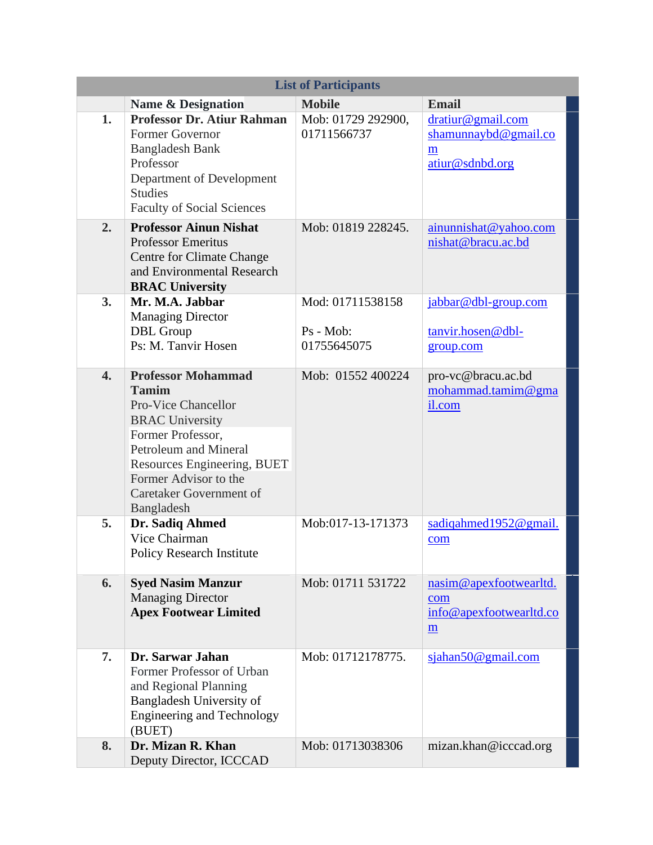| <b>List of Participants</b> |                                                                                                                                                                                                                                                  |                                              |                                                                             |  |
|-----------------------------|--------------------------------------------------------------------------------------------------------------------------------------------------------------------------------------------------------------------------------------------------|----------------------------------------------|-----------------------------------------------------------------------------|--|
|                             | <b>Name &amp; Designation</b>                                                                                                                                                                                                                    | <b>Mobile</b>                                | <b>Email</b>                                                                |  |
| 1.                          | <b>Professor Dr. Atiur Rahman</b><br>Former Governor<br><b>Bangladesh Bank</b><br>Professor<br>Department of Development<br><b>Studies</b><br><b>Faculty of Social Sciences</b>                                                                  | Mob: 01729 292900,<br>01711566737            | dratiur@gmail.com<br>shamunnaybd@gmail.co<br>m<br>atiur@sdnbd.org           |  |
| 2.                          | <b>Professor Ainun Nishat</b><br><b>Professor Emeritus</b><br><b>Centre for Climate Change</b><br>and Environmental Research<br><b>BRAC University</b>                                                                                           | Mob: 01819 228245.                           | ainunnishat@yahoo.com<br>nishat@bracu.ac.bd                                 |  |
| 3.                          | Mr. M.A. Jabbar<br><b>Managing Director</b><br>DBL Group<br>Ps: M. Tanvir Hosen                                                                                                                                                                  | Mod: 01711538158<br>Ps - Mob:<br>01755645075 | jabbar@dbl-group.com<br>tanvir.hosen@dbl-<br>group.com                      |  |
| $\overline{4}$ .            | <b>Professor Mohammad</b><br><b>Tamim</b><br><b>Pro-Vice Chancellor</b><br><b>BRAC University</b><br>Former Professor,<br>Petroleum and Mineral<br>Resources Engineering, BUET<br>Former Advisor to the<br>Caretaker Government of<br>Bangladesh | Mob: 01552 400224                            | pro-vc@bracu.ac.bd<br>mohammad.tamim@gma<br>il.com                          |  |
| 5.                          | Dr. Sadiq Ahmed<br>Vice Chairman<br><b>Policy Research Institute</b>                                                                                                                                                                             | Mob:017-13-171373                            | sadiqahmed1952@gmail.<br>com                                                |  |
| 6.                          | <b>Syed Nasim Manzur</b><br><b>Managing Director</b><br><b>Apex Footwear Limited</b>                                                                                                                                                             | Mob: 01711 531722                            | nasim@apexfootwearltd.<br>com<br>info@apexfootwearltd.co<br>$\underline{m}$ |  |
| 7.                          | Dr. Sarwar Jahan<br>Former Professor of Urban<br>and Regional Planning<br>Bangladesh University of<br><b>Engineering and Technology</b><br>(BUET)                                                                                                | Mob: 01712178775.                            | sjahan50@gmail.com                                                          |  |
| 8.                          | Dr. Mizan R. Khan<br>Deputy Director, ICCCAD                                                                                                                                                                                                     | Mob: 01713038306                             | mizan.khan@icccad.org                                                       |  |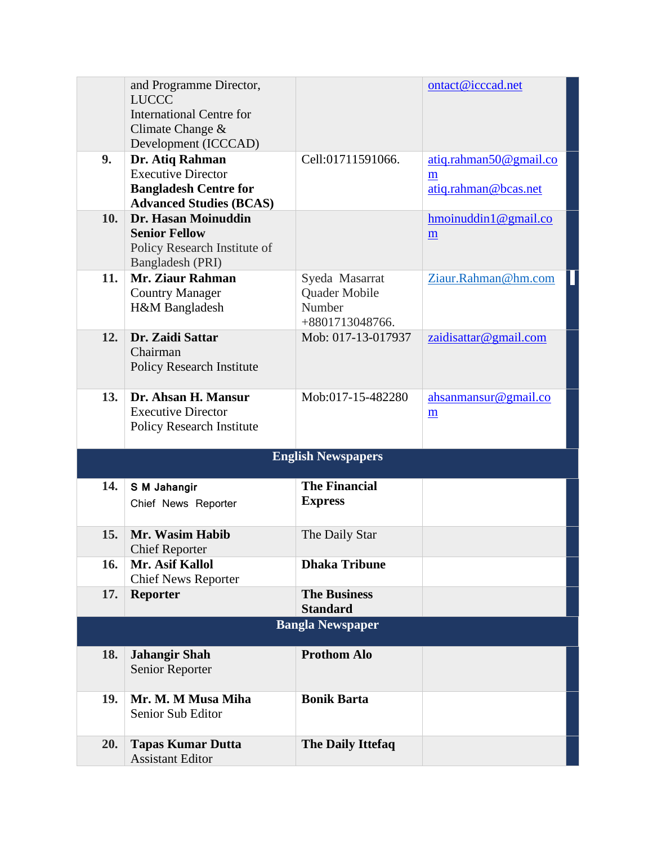|                         | and Programme Director,                             |                                 | ontact@icccad.net            |  |
|-------------------------|-----------------------------------------------------|---------------------------------|------------------------------|--|
|                         | <b>LUCCC</b>                                        |                                 |                              |  |
|                         | <b>International Centre for</b><br>Climate Change & |                                 |                              |  |
|                         | Development (ICCCAD)                                |                                 |                              |  |
| 9.                      | Dr. Atiq Rahman                                     | Cell:01711591066.               | atiq.rahman50@gmail.co       |  |
|                         | <b>Executive Director</b>                           |                                 | m                            |  |
|                         | <b>Bangladesh Centre for</b>                        |                                 | atiq.rahman@bcas.net         |  |
|                         | <b>Advanced Studies (BCAS)</b>                      |                                 |                              |  |
| 10.                     | Dr. Hasan Moinuddin                                 |                                 | $h$ moinuddin 1 $@$ gmail.co |  |
|                         | <b>Senior Fellow</b>                                |                                 | m                            |  |
|                         | Policy Research Institute of                        |                                 |                              |  |
| 11.                     | Bangladesh (PRI)<br>Mr. Ziaur Rahman                |                                 |                              |  |
|                         | <b>Country Manager</b>                              | Syeda Masarrat<br>Quader Mobile | Ziaur.Rahman@hm.com          |  |
|                         | H&M Bangladesh                                      | Number                          |                              |  |
|                         |                                                     | +8801713048766.                 |                              |  |
| 12.                     | Dr. Zaidi Sattar                                    | Mob: 017-13-017937              | zaidisattar@gmail.com        |  |
|                         | Chairman                                            |                                 |                              |  |
|                         | <b>Policy Research Institute</b>                    |                                 |                              |  |
|                         |                                                     |                                 |                              |  |
| 13.                     | Dr. Ahsan H. Mansur<br><b>Executive Director</b>    | Mob:017-15-482280               | ahsanmansur@gmail.co         |  |
|                         | <b>Policy Research Institute</b>                    |                                 | m                            |  |
|                         |                                                     |                                 |                              |  |
|                         |                                                     | <b>English Newspapers</b>       |                              |  |
| 14.                     |                                                     | <b>The Financial</b>            |                              |  |
|                         | S M Jahangir                                        | <b>Express</b>                  |                              |  |
|                         | Chief News Reporter                                 |                                 |                              |  |
| 15.                     | Mr. Wasim Habib                                     | The Daily Star                  |                              |  |
|                         | <b>Chief Reporter</b>                               |                                 |                              |  |
| <b>16.</b>              | Mr. Asif Kallol                                     | <b>Dhaka Tribune</b>            |                              |  |
|                         | <b>Chief News Reporter</b>                          |                                 |                              |  |
| 17.                     | <b>Reporter</b>                                     | <b>The Business</b>             |                              |  |
|                         |                                                     | <b>Standard</b>                 |                              |  |
| <b>Bangla Newspaper</b> |                                                     |                                 |                              |  |
| <b>18.</b>              | <b>Jahangir Shah</b>                                | <b>Prothom Alo</b>              |                              |  |
|                         | Senior Reporter                                     |                                 |                              |  |
|                         |                                                     |                                 |                              |  |
| 19.                     | Mr. M. M Musa Miha                                  | <b>Bonik Barta</b>              |                              |  |
|                         | Senior Sub Editor                                   |                                 |                              |  |
| 20.                     | <b>Tapas Kumar Dutta</b>                            | <b>The Daily Ittefaq</b>        |                              |  |
|                         | <b>Assistant Editor</b>                             |                                 |                              |  |
|                         |                                                     |                                 |                              |  |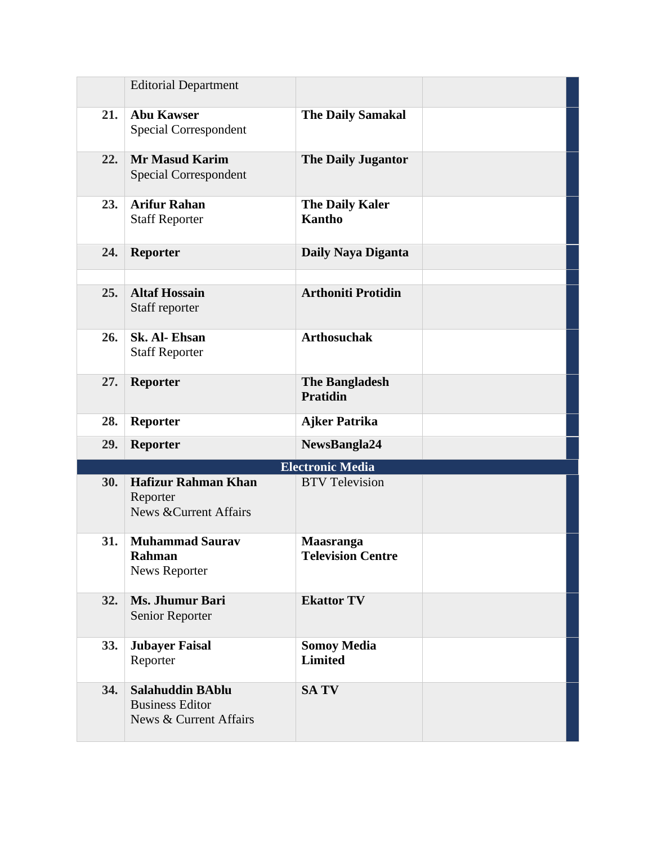|     | <b>Editorial Department</b>                                                 |                                              |  |
|-----|-----------------------------------------------------------------------------|----------------------------------------------|--|
| 21. | <b>Abu Kawser</b><br>Special Correspondent                                  | <b>The Daily Samakal</b>                     |  |
| 22. | <b>Mr Masud Karim</b><br>Special Correspondent                              | <b>The Daily Jugantor</b>                    |  |
| 23. | <b>Arifur Rahan</b><br><b>Staff Reporter</b>                                | <b>The Daily Kaler</b><br><b>Kantho</b>      |  |
| 24. | <b>Reporter</b>                                                             | Daily Naya Diganta                           |  |
| 25. | <b>Altaf Hossain</b><br>Staff reporter                                      | <b>Arthoniti Protidin</b>                    |  |
| 26. | Sk. Al-Ehsan<br><b>Staff Reporter</b>                                       | <b>Arthosuchak</b>                           |  |
| 27. | <b>Reporter</b>                                                             | <b>The Bangladesh</b><br><b>Pratidin</b>     |  |
| 28. | <b>Reporter</b>                                                             | <b>Ajker Patrika</b>                         |  |
| 29. | <b>Reporter</b>                                                             | NewsBangla24                                 |  |
|     |                                                                             | <b>Electronic Media</b>                      |  |
| 30. | <b>Hafizur Rahman Khan</b><br>Reporter<br><b>News &amp; Current Affairs</b> | <b>BTV</b> Television                        |  |
| 31. | <b>Muhammad Saurav</b><br>Rahman<br>News Reporter                           | <b>Maasranga</b><br><b>Television Centre</b> |  |
| 32. | Ms. Jhumur Bari<br>Senior Reporter                                          | <b>Ekattor TV</b>                            |  |
| 33. | <b>Jubayer Faisal</b><br>Reporter                                           | <b>Somoy Media</b><br><b>Limited</b>         |  |
| 34. | <b>Salahuddin BAblu</b><br><b>Business Editor</b>                           | <b>SATV</b>                                  |  |